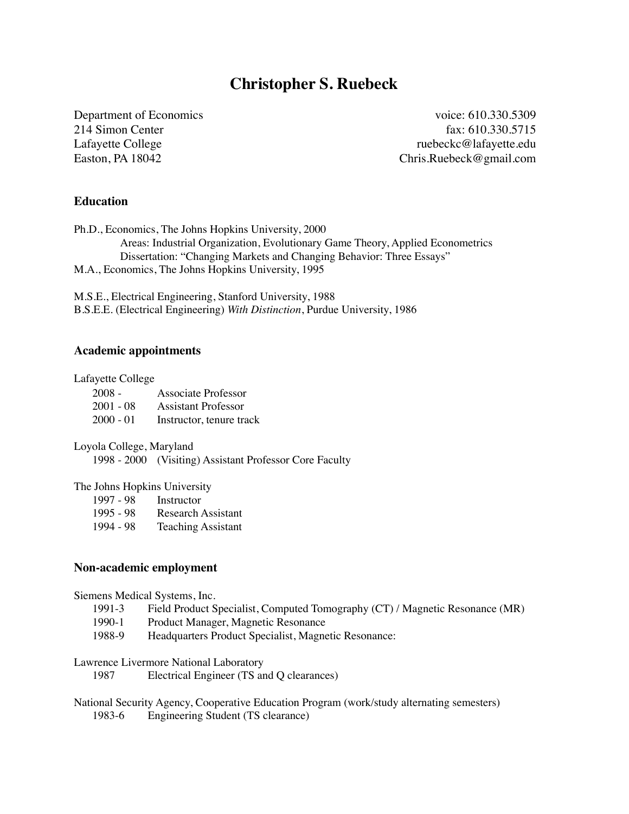# **Christopher S. Ruebeck**

Department of Economics voice: 610.330.5309 214 Simon Center fax: 610.330.5715 Lafayette College **ruebeckc@lafayette.edu** ruebeckc@lafayette.edu Easton, PA 18042 Chris.Ruebeck@gmail.com

### **Education**

Ph.D., Economics, The Johns Hopkins University, 2000 Areas: Industrial Organization, Evolutionary Game Theory, Applied Econometrics Dissertation: "Changing Markets and Changing Behavior: Three Essays" M.A., Economics, The Johns Hopkins University, 1995

M.S.E., Electrical Engineering, Stanford University, 1988 B.S.E.E. (Electrical Engineering) *With Distinction*, Purdue University, 1986

### **Academic appointments**

#### Lafayette College

| $2008 -$    | Associate Professor      |
|-------------|--------------------------|
| $2001 - 08$ | Assistant Professor      |
| $2000 - 01$ | Instructor, tenure track |

Loyola College, Maryland

1998 - 2000 (Visiting) Assistant Professor Core Faculty

#### The Johns Hopkins University

| Instructor |
|------------|
|            |

| 1995 - 98 | Research Assistant |
|-----------|--------------------|
|           |                    |

1994 - 98 Teaching Assistant

#### **Non-academic employment**

Siemens Medical Systems, Inc.

- 1991-3 Field Product Specialist, Computed Tomography (CT) / Magnetic Resonance (MR)
- 1990-1 Product Manager, Magnetic Resonance
- 1988-9 Headquarters Product Specialist, Magnetic Resonance:

Lawrence Livermore National Laboratory

1987 Electrical Engineer (TS and Q clearances)

National Security Agency, Cooperative Education Program (work/study alternating semesters) 1983-6 Engineering Student (TS clearance)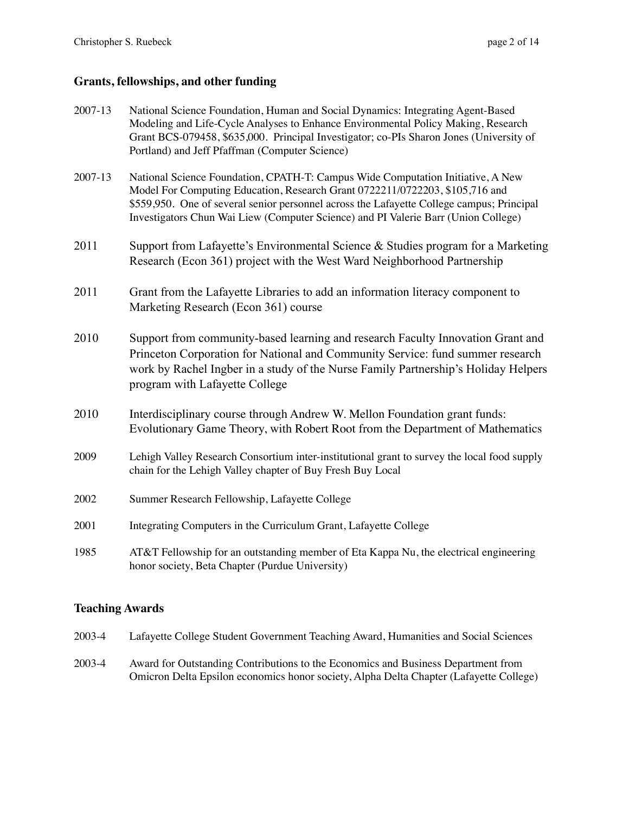# **Grants, fellowships, and other funding**

| 2007-13 | National Science Foundation, Human and Social Dynamics: Integrating Agent-Based<br>Modeling and Life-Cycle Analyses to Enhance Environmental Policy Making, Research<br>Grant BCS-079458, \$635,000. Principal Investigator; co-PIs Sharon Jones (University of<br>Portland) and Jeff Pfaffman (Computer Science)                                  |
|---------|----------------------------------------------------------------------------------------------------------------------------------------------------------------------------------------------------------------------------------------------------------------------------------------------------------------------------------------------------|
| 2007-13 | National Science Foundation, CPATH-T: Campus Wide Computation Initiative, A New<br>Model For Computing Education, Research Grant 0722211/0722203, \$105,716 and<br>\$559,950. One of several senior personnel across the Lafayette College campus; Principal<br>Investigators Chun Wai Liew (Computer Science) and PI Valerie Barr (Union College) |
| 2011    | Support from Lafayette's Environmental Science & Studies program for a Marketing<br>Research (Econ 361) project with the West Ward Neighborhood Partnership                                                                                                                                                                                        |
| 2011    | Grant from the Lafayette Libraries to add an information literacy component to<br>Marketing Research (Econ 361) course                                                                                                                                                                                                                             |
| 2010    | Support from community-based learning and research Faculty Innovation Grant and<br>Princeton Corporation for National and Community Service: fund summer research<br>work by Rachel Ingber in a study of the Nurse Family Partnership's Holiday Helpers<br>program with Lafayette College                                                          |
| 2010    | Interdisciplinary course through Andrew W. Mellon Foundation grant funds:<br>Evolutionary Game Theory, with Robert Root from the Department of Mathematics                                                                                                                                                                                         |
| 2009    | Lehigh Valley Research Consortium inter-institutional grant to survey the local food supply<br>chain for the Lehigh Valley chapter of Buy Fresh Buy Local                                                                                                                                                                                          |
| 2002    | Summer Research Fellowship, Lafayette College                                                                                                                                                                                                                                                                                                      |
| 2001    | Integrating Computers in the Curriculum Grant, Lafayette College                                                                                                                                                                                                                                                                                   |
| 1985    | AT&T Fellowship for an outstanding member of Eta Kappa Nu, the electrical engineering<br>honor society, Beta Chapter (Purdue University)                                                                                                                                                                                                           |

# **Teaching Awards**

| 2003-4 | Lafayette College Student Government Teaching Award, Humanities and Social Sciences                                                                                         |
|--------|-----------------------------------------------------------------------------------------------------------------------------------------------------------------------------|
| 2003-4 | Award for Outstanding Contributions to the Economics and Business Department from<br>Omicron Delta Epsilon economics honor society, Alpha Delta Chapter (Lafayette College) |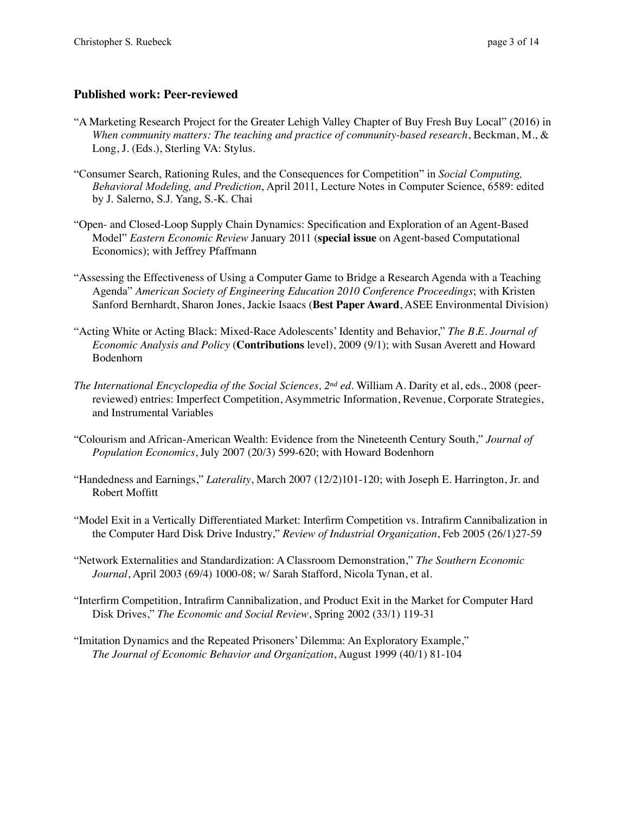# **Published work: Peer-reviewed**

- "A Marketing Research Project for the Greater Lehigh Valley Chapter of Buy Fresh Buy Local" (2016) in *When community matters: The teaching and practice of community-based research*, Beckman, M., & Long, J. (Eds.), Sterling VA: Stylus.
- "Consumer Search, Rationing Rules, and the Consequences for Competition" in *Social Computing, Behavioral Modeling, and Prediction*, April 2011, Lecture Notes in Computer Science, 6589: edited by J. Salerno, S.J. Yang, S.-K. Chai
- "Open- and Closed-Loop Supply Chain Dynamics: Specification and Exploration of an Agent-Based Model" *Eastern Economic Review* January 2011 (**special issue** on Agent-based Computational Economics); with Jeffrey Pfaffmann
- "Assessing the Effectiveness of Using a Computer Game to Bridge a Research Agenda with a Teaching Agenda" *American Society of Engineering Education 2010 Conference Proceedings*; with Kristen Sanford Bernhardt, Sharon Jones, Jackie Isaacs (**Best Paper Award**, ASEE Environmental Division)
- "Acting White or Acting Black: Mixed-Race Adolescents' Identity and Behavior," *The B.E. Journal of Economic Analysis and Policy* (**Contributions** level), 2009 (9/1); with Susan Averett and Howard Bodenhorn
- *The International Encyclopedia of the Social Sciences, 2nd ed.* William A. Darity et al, eds., 2008 (peerreviewed) entries: Imperfect Competition, Asymmetric Information, Revenue, Corporate Strategies, and Instrumental Variables
- "Colourism and African-American Wealth: Evidence from the Nineteenth Century South," *Journal of Population Economics*, July 2007 (20/3) 599-620; with Howard Bodenhorn
- "Handedness and Earnings," *Laterality*, March 2007 (12/2)101-120; with Joseph E. Harrington, Jr. and Robert Moffitt
- "Model Exit in a Vertically Differentiated Market: Interfirm Competition vs. Intrafirm Cannibalization in the Computer Hard Disk Drive Industry," *Review of Industrial Organization*, Feb 2005 (26/1)27-59
- "Network Externalities and Standardization: A Classroom Demonstration," *The Southern Economic Journal*, April 2003 (69/4) 1000-08; w/ Sarah Stafford, Nicola Tynan, et al.
- "Interfirm Competition, Intrafirm Cannibalization, and Product Exit in the Market for Computer Hard Disk Drives," *The Economic and Social Review*, Spring 2002 (33/1) 119-31
- "Imitation Dynamics and the Repeated Prisoners' Dilemma: An Exploratory Example," *The Journal of Economic Behavior and Organization*, August 1999 (40/1) 81-104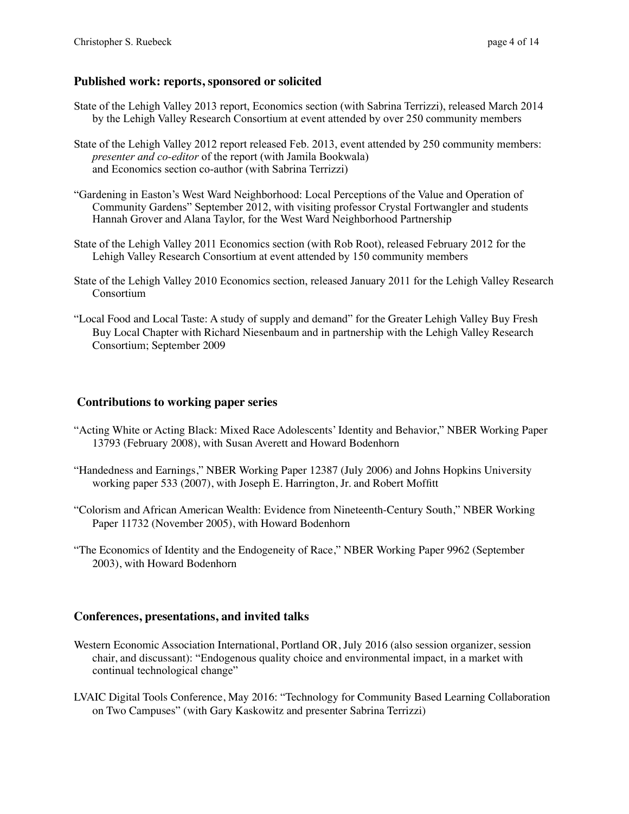## **Published work: reports, sponsored or solicited**

- State of the Lehigh Valley 2013 report, Economics section (with Sabrina Terrizzi), released March 2014 by the Lehigh Valley Research Consortium at event attended by over 250 community members
- State of the Lehigh Valley 2012 report released Feb. 2013, event attended by 250 community members: *presenter and co-editor* of the report (with Jamila Bookwala) and Economics section co-author (with Sabrina Terrizzi)
- "Gardening in Easton's West Ward Neighborhood: Local Perceptions of the Value and Operation of Community Gardens" September 2012, with visiting professor Crystal Fortwangler and students Hannah Grover and Alana Taylor, for the West Ward Neighborhood Partnership
- State of the Lehigh Valley 2011 Economics section (with Rob Root), released February 2012 for the Lehigh Valley Research Consortium at event attended by 150 community members
- State of the Lehigh Valley 2010 Economics section, released January 2011 for the Lehigh Valley Research Consortium
- "Local Food and Local Taste: A study of supply and demand" for the Greater Lehigh Valley Buy Fresh Buy Local Chapter with Richard Niesenbaum and in partnership with the Lehigh Valley Research Consortium; September 2009

## **Contributions to working paper series**

- "Acting White or Acting Black: Mixed Race Adolescents' Identity and Behavior," NBER Working Paper 13793 (February 2008), with Susan Averett and Howard Bodenhorn
- "Handedness and Earnings," NBER Working Paper 12387 (July 2006) and Johns Hopkins University working paper 533 (2007), with Joseph E. Harrington, Jr. and Robert Moffitt
- "Colorism and African American Wealth: Evidence from Nineteenth-Century South," NBER Working Paper 11732 (November 2005), with Howard Bodenhorn
- "The Economics of Identity and the Endogeneity of Race," NBER Working Paper 9962 (September 2003), with Howard Bodenhorn

## **Conferences, presentations, and invited talks**

- Western Economic Association International, Portland OR, July 2016 (also session organizer, session chair, and discussant): "Endogenous quality choice and environmental impact, in a market with continual technological change"
- LVAIC Digital Tools Conference, May 2016: "Technology for Community Based Learning Collaboration on Two Campuses" (with Gary Kaskowitz and presenter Sabrina Terrizzi)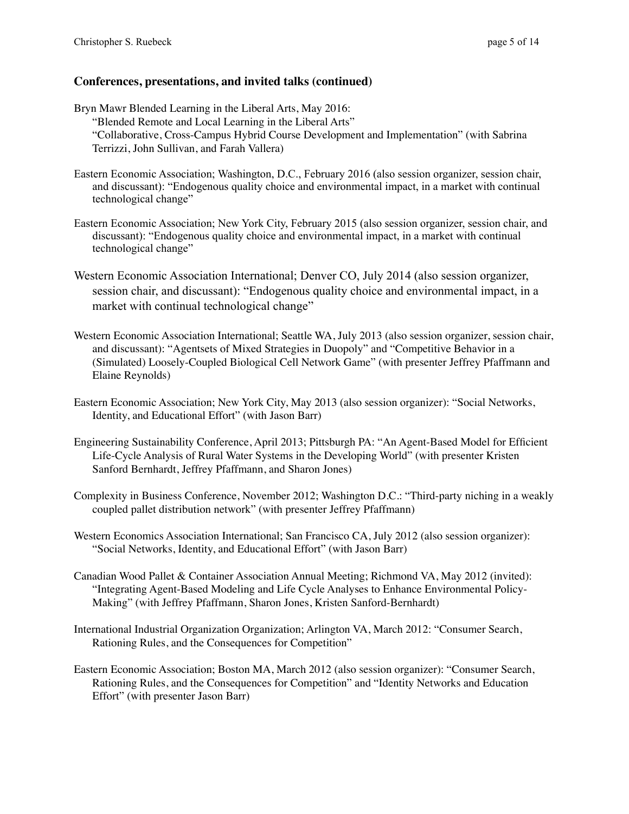Bryn Mawr Blended Learning in the Liberal Arts, May 2016: "Blended Remote and Local Learning in the Liberal Arts" "Collaborative, Cross-Campus Hybrid Course Development and Implementation" (with Sabrina Terrizzi, John Sullivan, and Farah Vallera)

- Eastern Economic Association; Washington, D.C., February 2016 (also session organizer, session chair, and discussant): "Endogenous quality choice and environmental impact, in a market with continual technological change"
- Eastern Economic Association; New York City, February 2015 (also session organizer, session chair, and discussant): "Endogenous quality choice and environmental impact, in a market with continual technological change"
- Western Economic Association International; Denver CO, July 2014 (also session organizer, session chair, and discussant): "Endogenous quality choice and environmental impact, in a market with continual technological change"
- Western Economic Association International; Seattle WA, July 2013 (also session organizer, session chair, and discussant): "Agentsets of Mixed Strategies in Duopoly" and "Competitive Behavior in a (Simulated) Loosely-Coupled Biological Cell Network Game" (with presenter Jeffrey Pfaffmann and Elaine Reynolds)
- Eastern Economic Association; New York City, May 2013 (also session organizer): "Social Networks, Identity, and Educational Effort" (with Jason Barr)
- Engineering Sustainability Conference, April 2013; Pittsburgh PA: "An Agent-Based Model for Efficient Life-Cycle Analysis of Rural Water Systems in the Developing World" (with presenter Kristen Sanford Bernhardt, Jeffrey Pfaffmann, and Sharon Jones)
- Complexity in Business Conference, November 2012; Washington D.C.: "Third-party niching in a weakly coupled pallet distribution network" (with presenter Jeffrey Pfaffmann)
- Western Economics Association International; San Francisco CA, July 2012 (also session organizer): "Social Networks, Identity, and Educational Effort" (with Jason Barr)
- Canadian Wood Pallet & Container Association Annual Meeting; Richmond VA, May 2012 (invited): "Integrating Agent-Based Modeling and Life Cycle Analyses to Enhance Environmental Policy-Making" (with Jeffrey Pfaffmann, Sharon Jones, Kristen Sanford-Bernhardt)
- International Industrial Organization Organization; Arlington VA, March 2012: "Consumer Search, Rationing Rules, and the Consequences for Competition"
- Eastern Economic Association; Boston MA, March 2012 (also session organizer): "Consumer Search, Rationing Rules, and the Consequences for Competition" and "Identity Networks and Education Effort" (with presenter Jason Barr)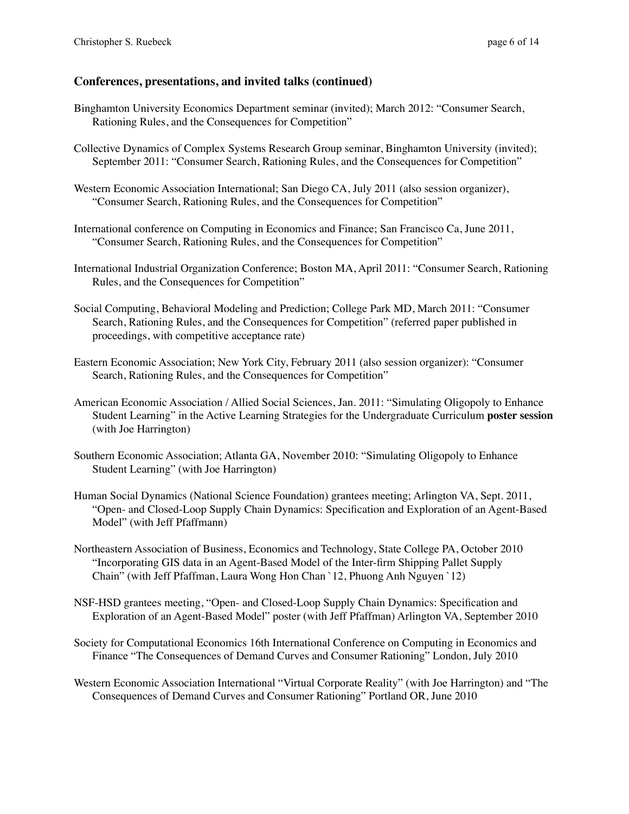- Binghamton University Economics Department seminar (invited); March 2012: "Consumer Search, Rationing Rules, and the Consequences for Competition"
- Collective Dynamics of Complex Systems Research Group seminar, Binghamton University (invited); September 2011: "Consumer Search, Rationing Rules, and the Consequences for Competition"
- Western Economic Association International; San Diego CA, July 2011 (also session organizer), "Consumer Search, Rationing Rules, and the Consequences for Competition"
- International conference on Computing in Economics and Finance; San Francisco Ca, June 2011, "Consumer Search, Rationing Rules, and the Consequences for Competition"
- International Industrial Organization Conference; Boston MA, April 2011: "Consumer Search, Rationing Rules, and the Consequences for Competition"
- Social Computing, Behavioral Modeling and Prediction; College Park MD, March 2011: "Consumer Search, Rationing Rules, and the Consequences for Competition" (referred paper published in proceedings, with competitive acceptance rate)
- Eastern Economic Association; New York City, February 2011 (also session organizer): "Consumer Search, Rationing Rules, and the Consequences for Competition"
- American Economic Association / Allied Social Sciences, Jan. 2011: "Simulating Oligopoly to Enhance Student Learning" in the Active Learning Strategies for the Undergraduate Curriculum **poster session** (with Joe Harrington)
- Southern Economic Association; Atlanta GA, November 2010: "Simulating Oligopoly to Enhance Student Learning" (with Joe Harrington)
- Human Social Dynamics (National Science Foundation) grantees meeting; Arlington VA, Sept. 2011, "Open- and Closed-Loop Supply Chain Dynamics: Specification and Exploration of an Agent-Based Model" (with Jeff Pfaffmann)
- Northeastern Association of Business, Economics and Technology, State College PA, October 2010 "Incorporating GIS data in an Agent-Based Model of the Inter-firm Shipping Pallet Supply Chain" (with Jeff Pfaffman, Laura Wong Hon Chan `12, Phuong Anh Nguyen `12)
- NSF-HSD grantees meeting, "Open- and Closed-Loop Supply Chain Dynamics: Specification and Exploration of an Agent-Based Model" poster (with Jeff Pfaffman) Arlington VA, September 2010
- Society for Computational Economics 16th International Conference on Computing in Economics and Finance "The Consequences of Demand Curves and Consumer Rationing" London, July 2010
- Western Economic Association International "Virtual Corporate Reality" (with Joe Harrington) and "The Consequences of Demand Curves and Consumer Rationing" Portland OR, June 2010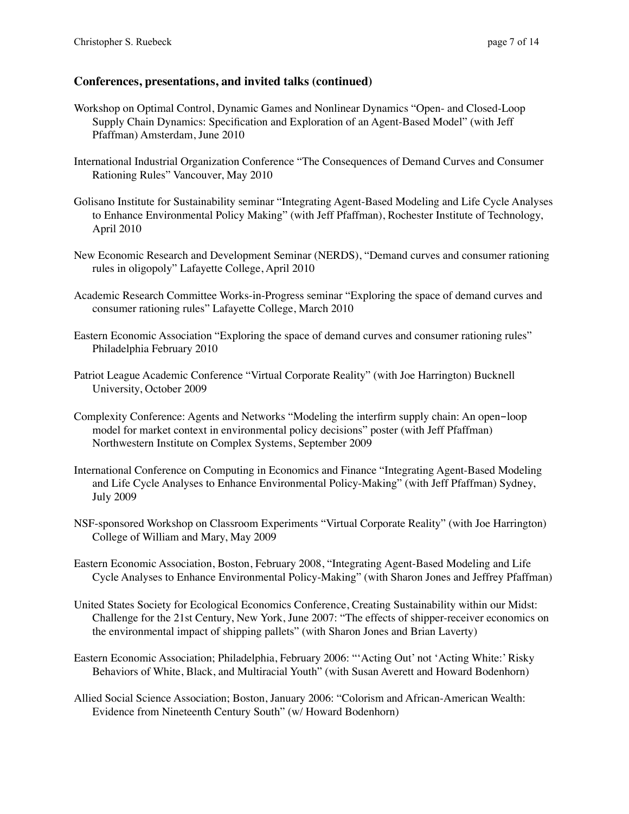- Workshop on Optimal Control, Dynamic Games and Nonlinear Dynamics "Open- and Closed-Loop Supply Chain Dynamics: Specification and Exploration of an Agent-Based Model" (with Jeff Pfaffman) Amsterdam, June 2010
- International Industrial Organization Conference "The Consequences of Demand Curves and Consumer Rationing Rules" Vancouver, May 2010
- Golisano Institute for Sustainability seminar "Integrating Agent-Based Modeling and Life Cycle Analyses to Enhance Environmental Policy Making" (with Jeff Pfaffman), Rochester Institute of Technology, April 2010
- New Economic Research and Development Seminar (NERDS), "Demand curves and consumer rationing rules in oligopoly" Lafayette College, April 2010
- Academic Research Committee Works-in-Progress seminar "Exploring the space of demand curves and consumer rationing rules" Lafayette College, March 2010
- Eastern Economic Association "Exploring the space of demand curves and consumer rationing rules" Philadelphia February 2010
- Patriot League Academic Conference "Virtual Corporate Reality" (with Joe Harrington) Bucknell University, October 2009
- Complexity Conference: Agents and Networks "Modeling the interfirm supply chain: An open-loop model for market context in environmental policy decisions" poster (with Jeff Pfaffman) Northwestern Institute on Complex Systems, September 2009
- International Conference on Computing in Economics and Finance "Integrating Agent-Based Modeling and Life Cycle Analyses to Enhance Environmental Policy-Making" (with Jeff Pfaffman) Sydney, July 2009
- NSF-sponsored Workshop on Classroom Experiments "Virtual Corporate Reality" (with Joe Harrington) College of William and Mary, May 2009
- Eastern Economic Association, Boston, February 2008, "Integrating Agent-Based Modeling and Life Cycle Analyses to Enhance Environmental Policy-Making" (with Sharon Jones and Jeffrey Pfaffman)
- United States Society for Ecological Economics Conference, Creating Sustainability within our Midst: Challenge for the 21st Century, New York, June 2007: "The effects of shipper-receiver economics on the environmental impact of shipping pallets" (with Sharon Jones and Brian Laverty)
- Eastern Economic Association; Philadelphia, February 2006: "'Acting Out' not 'Acting White:' Risky Behaviors of White, Black, and Multiracial Youth" (with Susan Averett and Howard Bodenhorn)
- Allied Social Science Association; Boston, January 2006: "Colorism and African-American Wealth: Evidence from Nineteenth Century South" (w/ Howard Bodenhorn)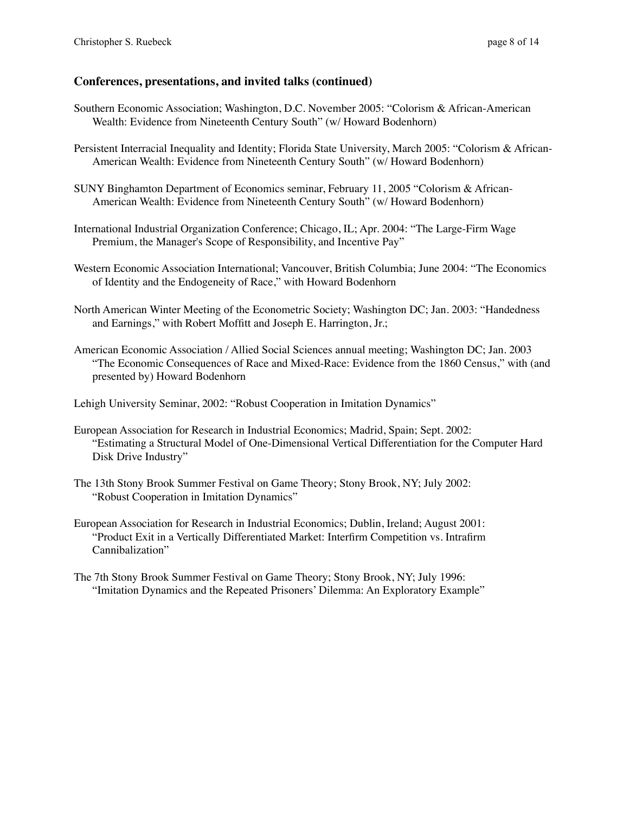- Southern Economic Association; Washington, D.C. November 2005: "Colorism & African-American Wealth: Evidence from Nineteenth Century South" (w/ Howard Bodenhorn)
- Persistent Interracial Inequality and Identity; Florida State University, March 2005: "Colorism & African-American Wealth: Evidence from Nineteenth Century South" (w/ Howard Bodenhorn)
- SUNY Binghamton Department of Economics seminar, February 11, 2005 "Colorism & African-American Wealth: Evidence from Nineteenth Century South" (w/ Howard Bodenhorn)
- International Industrial Organization Conference; Chicago, IL; Apr. 2004: "The Large-Firm Wage Premium, the Manager's Scope of Responsibility, and Incentive Pay"
- Western Economic Association International; Vancouver, British Columbia; June 2004: "The Economics of Identity and the Endogeneity of Race," with Howard Bodenhorn
- North American Winter Meeting of the Econometric Society; Washington DC; Jan. 2003: "Handedness and Earnings," with Robert Moffitt and Joseph E. Harrington, Jr.;
- American Economic Association / Allied Social Sciences annual meeting; Washington DC; Jan. 2003 "The Economic Consequences of Race and Mixed-Race: Evidence from the 1860 Census," with (and presented by) Howard Bodenhorn

Lehigh University Seminar, 2002: "Robust Cooperation in Imitation Dynamics"

- European Association for Research in Industrial Economics; Madrid, Spain; Sept. 2002: "Estimating a Structural Model of One-Dimensional Vertical Differentiation for the Computer Hard Disk Drive Industry"
- The 13th Stony Brook Summer Festival on Game Theory; Stony Brook, NY; July 2002: "Robust Cooperation in Imitation Dynamics"
- European Association for Research in Industrial Economics; Dublin, Ireland; August 2001: "Product Exit in a Vertically Differentiated Market: Interfirm Competition vs. Intrafirm Cannibalization"
- The 7th Stony Brook Summer Festival on Game Theory; Stony Brook, NY; July 1996: "Imitation Dynamics and the Repeated Prisoners' Dilemma: An Exploratory Example"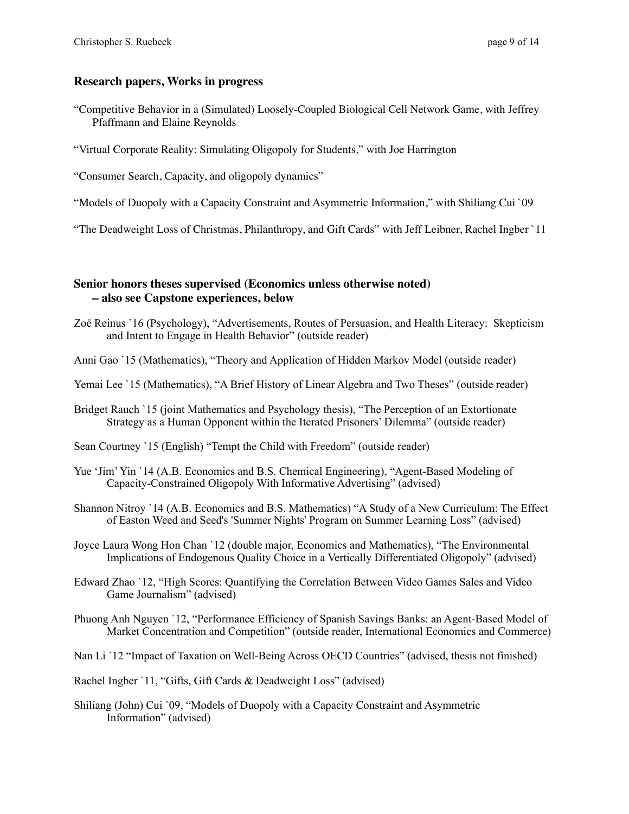## **Research papers, Works in progress**

- "Competitive Behavior in a (Simulated) Loosely-Coupled Biological Cell Network Game, with Jeffrey Pfaffmann and Elaine Reynolds
- "Virtual Corporate Reality: Simulating Oligopoly for Students," with Joe Harrington

"Consumer Search, Capacity, and oligopoly dynamics"

"Models of Duopoly with a Capacity Constraint and Asymmetric Information," with Shiliang Cui `09

"The Deadweight Loss of Christmas, Philanthropy, and Gift Cards" with Jeff Leibner, Rachel Ingber `11

## **Senior honors theses supervised (Economics unless otherwise noted) – also see Capstone experiences, below**

- Zoë Reinus `16 (Psychology), "Advertisements, Routes of Persuasion, and Health Literacy: Skepticism and Intent to Engage in Health Behavior" (outside reader)
- Anni Gao `15 (Mathematics), "Theory and Application of Hidden Markov Model (outside reader)
- Yemai Lee `15 (Mathematics), "A Brief History of Linear Algebra and Two Theses" (outside reader)
- Bridget Rauch `15 (joint Mathematics and Psychology thesis), "The Perception of an Extortionate Strategy as a Human Opponent within the Iterated Prisoners' Dilemma" (outside reader)

Sean Courtney `15 (English) "Tempt the Child with Freedom" (outside reader)

- Yue 'Jim' Yin '14 (A.B. Economics and B.S. Chemical Engineering), "Agent-Based Modeling of Capacity-Constrained Oligopoly With Informative Advertising" (advised)
- Shannon Nitroy `14 (A.B. Economics and B.S. Mathematics) "A Study of a New Curriculum: The Effect of Easton Weed and Seed's 'Summer Nights' Program on Summer Learning Loss" (advised)
- Joyce Laura Wong Hon Chan `12 (double major, Economics and Mathematics), "The Environmental Implications of Endogenous Quality Choice in a Vertically Differentiated Oligopoly" (advised)
- Edward Zhao `12, "High Scores: Quantifying the Correlation Between Video Games Sales and Video Game Journalism" (advised)
- Phuong Anh Nguyen `12, "Performance Efficiency of Spanish Savings Banks: an Agent-Based Model of Market Concentration and Competition" (outside reader, International Economics and Commerce)
- Nan Li `12 "Impact of Taxation on Well-Being Across OECD Countries" (advised, thesis not finished)
- Rachel Ingber `11, "Gifts, Gift Cards & Deadweight Loss" (advised)
- Shiliang (John) Cui `09, "Models of Duopoly with a Capacity Constraint and Asymmetric Information" (advised)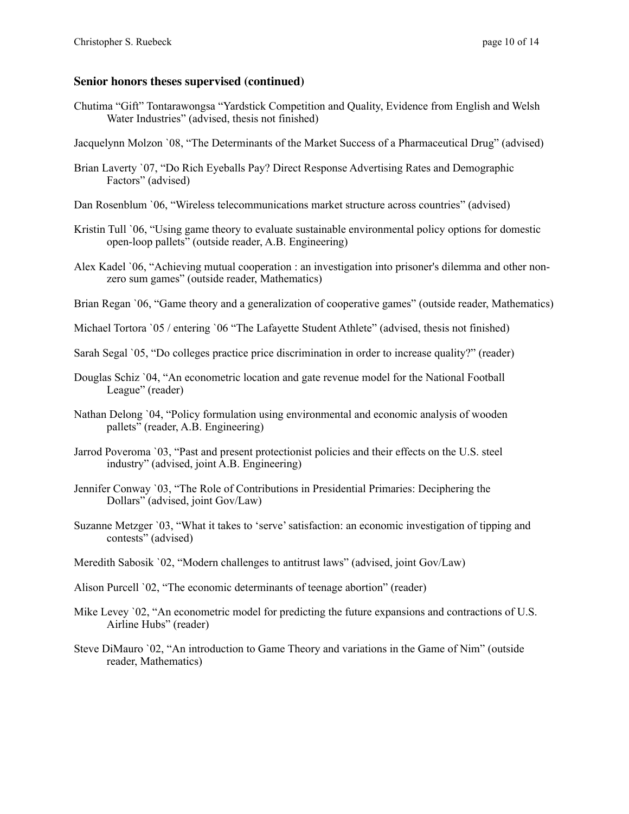## **Senior honors theses supervised (continued)**

- Chutima "Gift" Tontarawongsa "Yardstick Competition and Quality, Evidence from English and Welsh Water Industries" (advised, thesis not finished)
- Jacquelynn Molzon `08, "The Determinants of the Market Success of a Pharmaceutical Drug" (advised)
- Brian Laverty `07, "Do Rich Eyeballs Pay? Direct Response Advertising Rates and Demographic Factors" (advised)
- Dan Rosenblum `06, "Wireless telecommunications market structure across countries" (advised)
- Kristin Tull `06, "Using game theory to evaluate sustainable environmental policy options for domestic open-loop pallets" (outside reader, A.B. Engineering)
- Alex Kadel `06, "Achieving mutual cooperation : an investigation into prisoner's dilemma and other nonzero sum games" (outside reader, Mathematics)
- Brian Regan `06, "Game theory and a generalization of cooperative games" (outside reader, Mathematics)
- Michael Tortora '05 / entering '06 "The Lafayette Student Athlete" (advised, thesis not finished)
- Sarah Segal `05, "Do colleges practice price discrimination in order to increase quality?" (reader)
- Douglas Schiz `04, "An econometric location and gate revenue model for the National Football League" (reader)
- Nathan Delong `04, "Policy formulation using environmental and economic analysis of wooden pallets" (reader, A.B. Engineering)
- Jarrod Poveroma `03, "Past and present protectionist policies and their effects on the U.S. steel industry" (advised, joint A.B. Engineering)
- Jennifer Conway `03, "The Role of Contributions in Presidential Primaries: Deciphering the Dollars" (advised, joint Gov/Law)
- Suzanne Metzger `03, "What it takes to 'serve' satisfaction: an economic investigation of tipping and contests" (advised)
- Meredith Sabosik `02, "Modern challenges to antitrust laws" (advised, joint Gov/Law)
- Alison Purcell `02, "The economic determinants of teenage abortion" (reader)
- Mike Levey '02, "An econometric model for predicting the future expansions and contractions of U.S. Airline Hubs" (reader)
- Steve DiMauro `02, "An introduction to Game Theory and variations in the Game of Nim" (outside reader, Mathematics)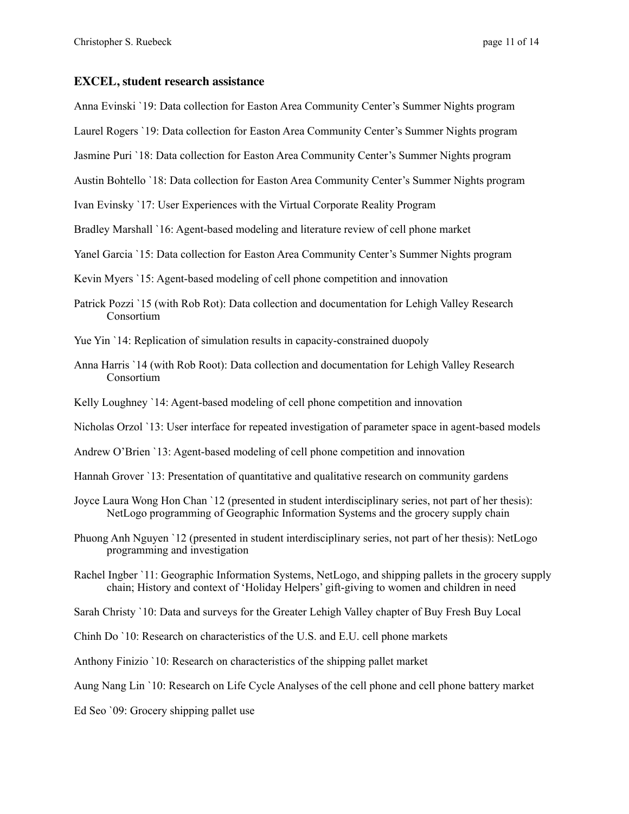#### **EXCEL, student research assistance**

Anna Evinski `19: Data collection for Easton Area Community Center's Summer Nights program

Laurel Rogers `19: Data collection for Easton Area Community Center's Summer Nights program

Jasmine Puri `18: Data collection for Easton Area Community Center's Summer Nights program

Austin Bohtello `18: Data collection for Easton Area Community Center's Summer Nights program

Ivan Evinsky `17: User Experiences with the Virtual Corporate Reality Program

Bradley Marshall `16: Agent-based modeling and literature review of cell phone market

Yanel Garcia `15: Data collection for Easton Area Community Center's Summer Nights program

Kevin Myers `15: Agent-based modeling of cell phone competition and innovation

- Patrick Pozzi `15 (with Rob Rot): Data collection and documentation for Lehigh Valley Research Consortium
- Yue Yin `14: Replication of simulation results in capacity-constrained duopoly
- Anna Harris `14 (with Rob Root): Data collection and documentation for Lehigh Valley Research Consortium

Kelly Loughney `14: Agent-based modeling of cell phone competition and innovation

Nicholas Orzol `13: User interface for repeated investigation of parameter space in agent-based models

Andrew O'Brien `13: Agent-based modeling of cell phone competition and innovation

Hannah Grover `13: Presentation of quantitative and qualitative research on community gardens

- Joyce Laura Wong Hon Chan `12 (presented in student interdisciplinary series, not part of her thesis): NetLogo programming of Geographic Information Systems and the grocery supply chain
- Phuong Anh Nguyen `12 (presented in student interdisciplinary series, not part of her thesis): NetLogo programming and investigation

Rachel Ingber `11: Geographic Information Systems, NetLogo, and shipping pallets in the grocery supply chain; History and context of 'Holiday Helpers' gift-giving to women and children in need

Sarah Christy `10: Data and surveys for the Greater Lehigh Valley chapter of Buy Fresh Buy Local

Chinh Do `10: Research on characteristics of the U.S. and E.U. cell phone markets

Anthony Finizio `10: Research on characteristics of the shipping pallet market

Aung Nang Lin `10: Research on Life Cycle Analyses of the cell phone and cell phone battery market

Ed Seo `09: Grocery shipping pallet use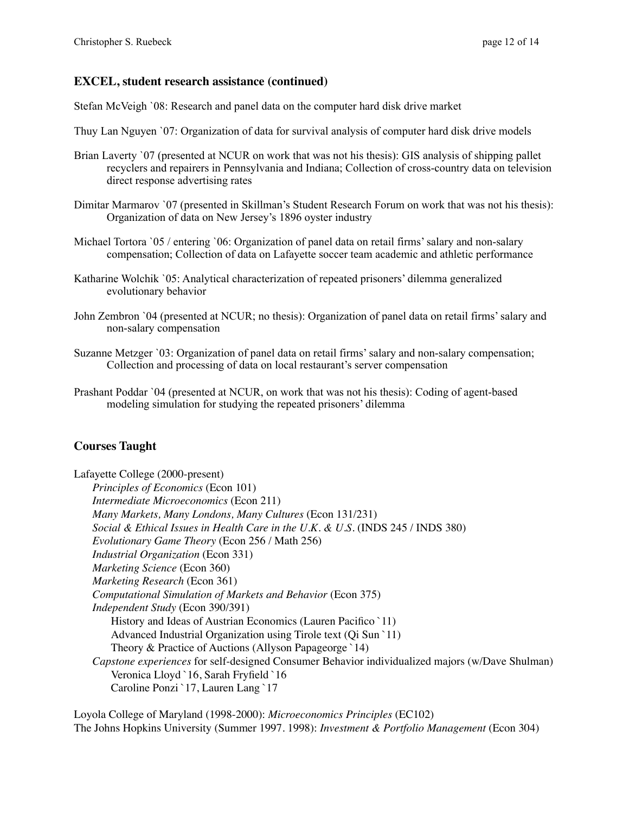# **EXCEL, student research assistance (continued)**

Stefan McVeigh `08: Research and panel data on the computer hard disk drive market

- Thuy Lan Nguyen `07: Organization of data for survival analysis of computer hard disk drive models
- Brian Laverty `07 (presented at NCUR on work that was not his thesis): GIS analysis of shipping pallet recyclers and repairers in Pennsylvania and Indiana; Collection of cross-country data on television direct response advertising rates
- Dimitar Marmarov `07 (presented in Skillman's Student Research Forum on work that was not his thesis): Organization of data on New Jersey's 1896 oyster industry
- Michael Tortora '05 / entering '06: Organization of panel data on retail firms' salary and non-salary compensation; Collection of data on Lafayette soccer team academic and athletic performance
- Katharine Wolchik `05: Analytical characterization of repeated prisoners' dilemma generalized evolutionary behavior
- John Zembron `04 (presented at NCUR; no thesis): Organization of panel data on retail firms' salary and non-salary compensation
- Suzanne Metzger `03: Organization of panel data on retail firms' salary and non-salary compensation; Collection and processing of data on local restaurant's server compensation
- Prashant Poddar `04 (presented at NCUR, on work that was not his thesis): Coding of agent-based modeling simulation for studying the repeated prisoners' dilemma

# **Courses Taught**

Lafayette College (2000-present) *Principles of Economics* (Econ 101) *Intermediate Microeconomics* (Econ 211) *Many Markets, Many Londons, Many Cultures* (Econ 131/231) *Social & Ethical Issues in Health Care in the U.K. & U.S.* (INDS 245 / INDS 380) *Evolutionary Game Theory* (Econ 256 / Math 256) *Industrial Organization* (Econ 331) *Marketing Science* (Econ 360) *Marketing Research* (Econ 361) *Computational Simulation of Markets and Behavior* (Econ 375) *Independent Study* (Econ 390/391) History and Ideas of Austrian Economics (Lauren Pacifico `11) Advanced Industrial Organization using Tirole text (Qi Sun `11) Theory & Practice of Auctions (Allyson Papageorge `14) *Capstone experiences* for self-designed Consumer Behavior individualized majors (w/Dave Shulman) Veronica Lloyd `16, Sarah Fryfield `16 Caroline Ponzi `17, Lauren Lang `17

Loyola College of Maryland (1998-2000): *Microeconomics Principles* (EC102) The Johns Hopkins University (Summer 1997. 1998): *Investment & Portfolio Management* (Econ 304)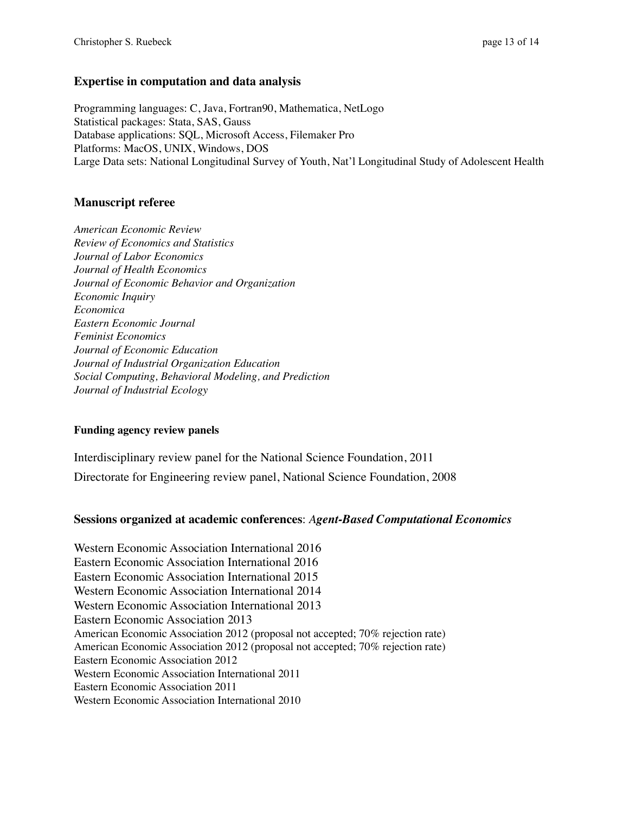## **Expertise in computation and data analysis**

Programming languages: C, Java, Fortran90, Mathematica, NetLogo Statistical packages: Stata, SAS, Gauss Database applications: SQL, Microsoft Access, Filemaker Pro Platforms: MacOS, UNIX, Windows, DOS Large Data sets: National Longitudinal Survey of Youth, Nat'l Longitudinal Study of Adolescent Health

# **Manuscript referee**

*American Economic Review Review of Economics and Statistics Journal of Labor Economics Journal of Health Economics Journal of Economic Behavior and Organization Economic Inquiry Economica Eastern Economic Journal Feminist Economics Journal of Economic Education Journal of Industrial Organization Education Social Computing, Behavioral Modeling, and Prediction Journal of Industrial Ecology*

## **Funding agency review panels**

Interdisciplinary review panel for the National Science Foundation, 2011 Directorate for Engineering review panel, National Science Foundation, 2008

# **Sessions organized at academic conferences**: *Agent-Based Computational Economics*

Western Economic Association International 2016 Eastern Economic Association International 2016 Eastern Economic Association International 2015 Western Economic Association International 2014 Western Economic Association International 2013 Eastern Economic Association 2013 American Economic Association 2012 (proposal not accepted; 70% rejection rate) American Economic Association 2012 (proposal not accepted; 70% rejection rate) Eastern Economic Association 2012 Western Economic Association International 2011 Eastern Economic Association 2011 Western Economic Association International 2010